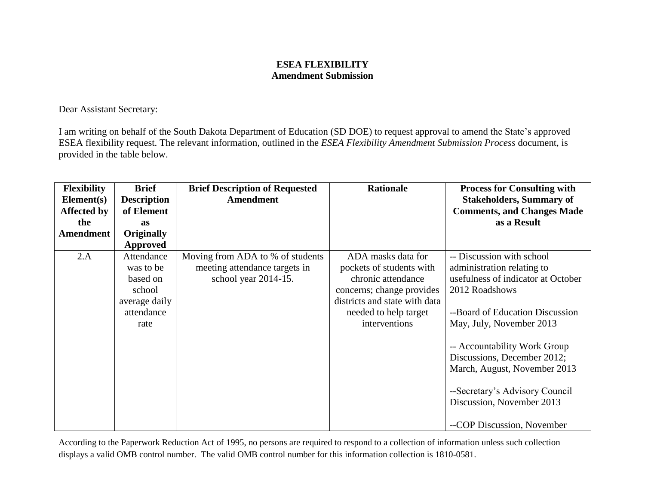## **ESEA FLEXIBILITY Amendment Submission**

Dear Assistant Secretary:

I am writing on behalf of the South Dakota Department of Education (SD DOE) to request approval to amend the State's approved ESEA flexibility request. The relevant information, outlined in the *ESEA Flexibility Amendment Submission Process* document, is provided in the table below.

| <b>Flexibility</b> | <b>Brief</b>       | <b>Brief Description of Requested</b> | <b>Rationale</b>              | <b>Process for Consulting with</b> |
|--------------------|--------------------|---------------------------------------|-------------------------------|------------------------------------|
| Element(s)         | <b>Description</b> | <b>Amendment</b>                      |                               | <b>Stakeholders, Summary of</b>    |
| <b>Affected by</b> | of Element         |                                       |                               | <b>Comments, and Changes Made</b>  |
| the                | <b>as</b>          |                                       |                               | as a Result                        |
| Amendment          | <b>Originally</b>  |                                       |                               |                                    |
|                    | Approved           |                                       |                               |                                    |
| 2.A                | Attendance         | Moving from ADA to % of students      | ADA masks data for            | -- Discussion with school          |
|                    | was to be          | meeting attendance targets in         | pockets of students with      | administration relating to         |
|                    | based on           | school year 2014-15.                  | chronic attendance            | usefulness of indicator at October |
|                    | school             |                                       | concerns; change provides     | 2012 Roadshows                     |
|                    | average daily      |                                       | districts and state with data |                                    |
|                    | attendance         |                                       | needed to help target         | --Board of Education Discussion    |
|                    | rate               |                                       | interventions                 | May, July, November 2013           |
|                    |                    |                                       |                               |                                    |
|                    |                    |                                       |                               | -- Accountability Work Group       |
|                    |                    |                                       |                               | Discussions, December 2012;        |
|                    |                    |                                       |                               | March, August, November 2013       |
|                    |                    |                                       |                               |                                    |
|                    |                    |                                       |                               | --Secretary's Advisory Council     |
|                    |                    |                                       |                               | Discussion, November 2013          |
|                    |                    |                                       |                               |                                    |
|                    |                    |                                       |                               | --COP Discussion, November         |

According to the Paperwork Reduction Act of 1995, no persons are required to respond to a collection of information unless such collection displays a valid OMB control number. The valid OMB control number for this information collection is 1810-0581.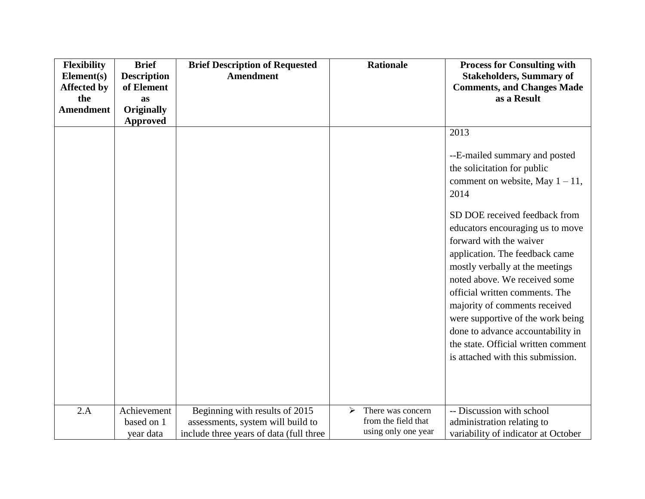| <b>Flexibility</b> | <b>Brief</b>       | <b>Brief Description of Requested</b>   |   | <b>Rationale</b>    | <b>Process for Consulting with</b>                           |
|--------------------|--------------------|-----------------------------------------|---|---------------------|--------------------------------------------------------------|
| Element(s)         | <b>Description</b> | <b>Amendment</b>                        |   |                     | <b>Stakeholders, Summary of</b>                              |
| <b>Affected by</b> | of Element         |                                         |   |                     | <b>Comments, and Changes Made</b>                            |
| the                | as                 |                                         |   |                     | as a Result                                                  |
| <b>Amendment</b>   | <b>Originally</b>  |                                         |   |                     |                                                              |
|                    | <b>Approved</b>    |                                         |   |                     |                                                              |
|                    |                    |                                         |   |                     | 2013                                                         |
|                    |                    |                                         |   |                     | --E-mailed summary and posted<br>the solicitation for public |
|                    |                    |                                         |   |                     | comment on website, May $1 - 11$ ,                           |
|                    |                    |                                         |   |                     | 2014                                                         |
|                    |                    |                                         |   |                     |                                                              |
|                    |                    |                                         |   |                     | SD DOE received feedback from                                |
|                    |                    |                                         |   |                     | educators encouraging us to move                             |
|                    |                    |                                         |   |                     | forward with the waiver                                      |
|                    |                    |                                         |   |                     | application. The feedback came                               |
|                    |                    |                                         |   |                     | mostly verbally at the meetings                              |
|                    |                    |                                         |   |                     | noted above. We received some                                |
|                    |                    |                                         |   |                     | official written comments. The                               |
|                    |                    |                                         |   |                     | majority of comments received                                |
|                    |                    |                                         |   |                     | were supportive of the work being                            |
|                    |                    |                                         |   |                     |                                                              |
|                    |                    |                                         |   |                     | done to advance accountability in                            |
|                    |                    |                                         |   |                     | the state. Official written comment                          |
|                    |                    |                                         |   |                     | is attached with this submission.                            |
|                    |                    |                                         |   |                     |                                                              |
|                    |                    |                                         |   |                     |                                                              |
|                    |                    |                                         |   |                     |                                                              |
| 2.A                | Achievement        | Beginning with results of 2015          | ➤ | There was concern   | -- Discussion with school                                    |
|                    | based on 1         | assessments, system will build to       |   | from the field that | administration relating to                                   |
|                    | year data          | include three years of data (full three |   | using only one year | variability of indicator at October                          |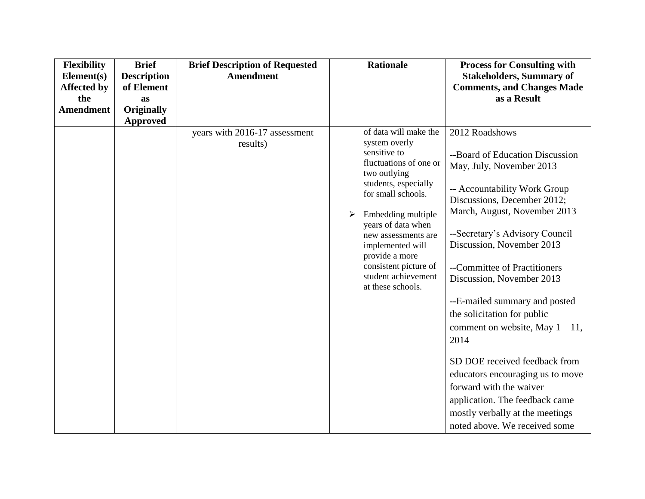| <b>Flexibility</b><br>Element(s)<br><b>Affected by</b><br>the | <b>Brief</b><br><b>Description</b><br>of Element<br>as | <b>Brief Description of Requested</b><br><b>Amendment</b> | <b>Rationale</b>                                                                                                                                                                                                                                                                                                                  | <b>Process for Consulting with</b><br><b>Stakeholders, Summary of</b><br><b>Comments, and Changes Made</b><br>as a Result                                                                                                                                                                                                                                                                                                                                                                                                                                                                                                    |
|---------------------------------------------------------------|--------------------------------------------------------|-----------------------------------------------------------|-----------------------------------------------------------------------------------------------------------------------------------------------------------------------------------------------------------------------------------------------------------------------------------------------------------------------------------|------------------------------------------------------------------------------------------------------------------------------------------------------------------------------------------------------------------------------------------------------------------------------------------------------------------------------------------------------------------------------------------------------------------------------------------------------------------------------------------------------------------------------------------------------------------------------------------------------------------------------|
| <b>Amendment</b>                                              | <b>Originally</b><br><b>Approved</b>                   |                                                           |                                                                                                                                                                                                                                                                                                                                   |                                                                                                                                                                                                                                                                                                                                                                                                                                                                                                                                                                                                                              |
|                                                               |                                                        | years with 2016-17 assessment<br>results)                 | of data will make the<br>system overly<br>sensitive to<br>fluctuations of one or<br>two outlying<br>students, especially<br>for small schools.<br>Embedding multiple<br>➤<br>years of data when<br>new assessments are<br>implemented will<br>provide a more<br>consistent picture of<br>student achievement<br>at these schools. | 2012 Roadshows<br>--Board of Education Discussion<br>May, July, November 2013<br>-- Accountability Work Group<br>Discussions, December 2012;<br>March, August, November 2013<br>--Secretary's Advisory Council<br>Discussion, November 2013<br>--Committee of Practitioners<br>Discussion, November 2013<br>--E-mailed summary and posted<br>the solicitation for public<br>comment on website, May $1 - 11$ ,<br>2014<br>SD DOE received feedback from<br>educators encouraging us to move<br>forward with the waiver<br>application. The feedback came<br>mostly verbally at the meetings<br>noted above. We received some |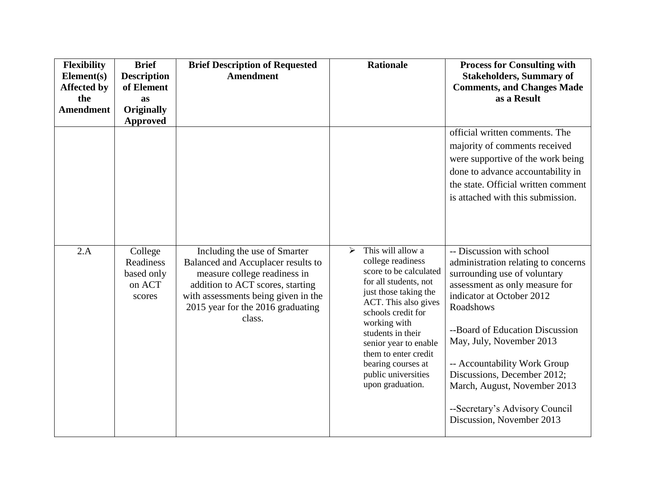| <b>Flexibility</b><br>Element(s)<br><b>Affected by</b><br>the<br><b>Amendment</b> | <b>Brief</b><br><b>Description</b><br>of Element<br>as<br><b>Originally</b><br><b>Approved</b> | <b>Brief Description of Requested</b><br><b>Amendment</b>                                                                                                                                                                    | <b>Rationale</b>                                                                                                                                                                                                                                                                                                             | <b>Process for Consulting with</b><br><b>Stakeholders, Summary of</b><br><b>Comments, and Changes Made</b><br>as a Result                                                                                                                                                                                                                                                                                 |
|-----------------------------------------------------------------------------------|------------------------------------------------------------------------------------------------|------------------------------------------------------------------------------------------------------------------------------------------------------------------------------------------------------------------------------|------------------------------------------------------------------------------------------------------------------------------------------------------------------------------------------------------------------------------------------------------------------------------------------------------------------------------|-----------------------------------------------------------------------------------------------------------------------------------------------------------------------------------------------------------------------------------------------------------------------------------------------------------------------------------------------------------------------------------------------------------|
|                                                                                   |                                                                                                |                                                                                                                                                                                                                              |                                                                                                                                                                                                                                                                                                                              | official written comments. The<br>majority of comments received<br>were supportive of the work being<br>done to advance accountability in<br>the state. Official written comment<br>is attached with this submission.                                                                                                                                                                                     |
| 2.A                                                                               | College<br>Readiness<br>based only<br>on ACT<br>scores                                         | Including the use of Smarter<br>Balanced and Accuplacer results to<br>measure college readiness in<br>addition to ACT scores, starting<br>with assessments being given in the<br>2015 year for the 2016 graduating<br>class. | This will allow a<br>≻<br>college readiness<br>score to be calculated<br>for all students, not<br>just those taking the<br>ACT. This also gives<br>schools credit for<br>working with<br>students in their<br>senior year to enable<br>them to enter credit<br>bearing courses at<br>public universities<br>upon graduation. | -- Discussion with school<br>administration relating to concerns<br>surrounding use of voluntary<br>assessment as only measure for<br>indicator at October 2012<br>Roadshows<br>--Board of Education Discussion<br>May, July, November 2013<br>-- Accountability Work Group<br>Discussions, December 2012;<br>March, August, November 2013<br>--Secretary's Advisory Council<br>Discussion, November 2013 |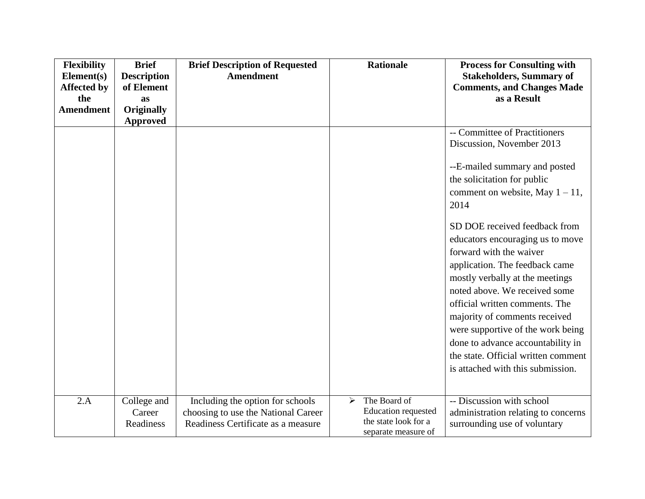| <b>Flexibility</b>               | <b>Brief</b>                     | <b>Brief Description of Requested</b> | <b>Rationale</b>                            | <b>Process for Consulting with</b>                                   |
|----------------------------------|----------------------------------|---------------------------------------|---------------------------------------------|----------------------------------------------------------------------|
| Element(s)<br><b>Affected by</b> | <b>Description</b><br>of Element | <b>Amendment</b>                      |                                             | <b>Stakeholders, Summary of</b><br><b>Comments, and Changes Made</b> |
| the                              | <b>as</b>                        |                                       |                                             | as a Result                                                          |
| <b>Amendment</b>                 | <b>Originally</b>                |                                       |                                             |                                                                      |
|                                  | <b>Approved</b>                  |                                       |                                             |                                                                      |
|                                  |                                  |                                       |                                             | -- Committee of Practitioners                                        |
|                                  |                                  |                                       |                                             | Discussion, November 2013                                            |
|                                  |                                  |                                       |                                             | --E-mailed summary and posted                                        |
|                                  |                                  |                                       |                                             | the solicitation for public                                          |
|                                  |                                  |                                       |                                             | comment on website, May $1 - 11$ ,                                   |
|                                  |                                  |                                       |                                             | 2014                                                                 |
|                                  |                                  |                                       |                                             |                                                                      |
|                                  |                                  |                                       |                                             | SD DOE received feedback from                                        |
|                                  |                                  |                                       |                                             | educators encouraging us to move                                     |
|                                  |                                  |                                       |                                             | forward with the waiver                                              |
|                                  |                                  |                                       |                                             | application. The feedback came                                       |
|                                  |                                  |                                       |                                             | mostly verbally at the meetings                                      |
|                                  |                                  |                                       |                                             | noted above. We received some                                        |
|                                  |                                  |                                       |                                             | official written comments. The                                       |
|                                  |                                  |                                       |                                             | majority of comments received                                        |
|                                  |                                  |                                       |                                             | were supportive of the work being                                    |
|                                  |                                  |                                       |                                             | done to advance accountability in                                    |
|                                  |                                  |                                       |                                             | the state. Official written comment                                  |
|                                  |                                  |                                       |                                             | is attached with this submission.                                    |
|                                  |                                  |                                       |                                             |                                                                      |
| 2.A                              | College and                      | Including the option for schools      | The Board of<br>➤                           | -- Discussion with school                                            |
|                                  | Career                           | choosing to use the National Career   | Education requested                         | administration relating to concerns                                  |
|                                  | Readiness                        | Readiness Certificate as a measure    | the state look for a<br>separate measure of | surrounding use of voluntary                                         |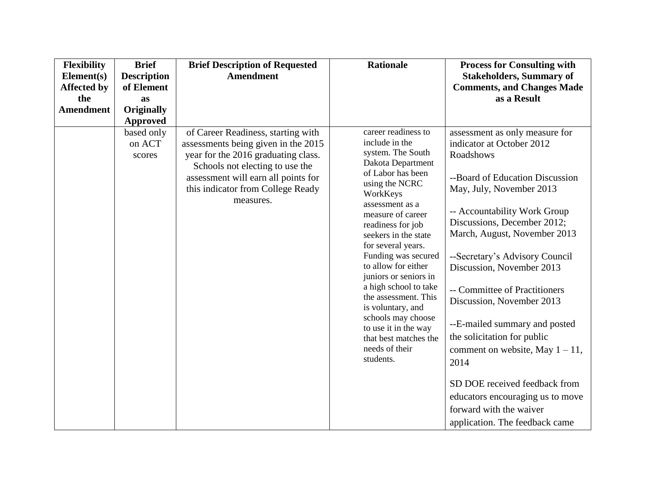| <b>Flexibility</b> | <b>Brief</b>                   | <b>Brief Description of Requested</b>                                                                                                                                                                                                        | <b>Rationale</b>                                                                                                                                                                                                                                                                                                                                                                                                                                                                                 | <b>Process for Consulting with</b>                                                                                                                                                                                                                                                                                                                                                                                                                                                                                                                                                |
|--------------------|--------------------------------|----------------------------------------------------------------------------------------------------------------------------------------------------------------------------------------------------------------------------------------------|--------------------------------------------------------------------------------------------------------------------------------------------------------------------------------------------------------------------------------------------------------------------------------------------------------------------------------------------------------------------------------------------------------------------------------------------------------------------------------------------------|-----------------------------------------------------------------------------------------------------------------------------------------------------------------------------------------------------------------------------------------------------------------------------------------------------------------------------------------------------------------------------------------------------------------------------------------------------------------------------------------------------------------------------------------------------------------------------------|
| Element(s)         | <b>Description</b>             | <b>Amendment</b>                                                                                                                                                                                                                             |                                                                                                                                                                                                                                                                                                                                                                                                                                                                                                  | <b>Stakeholders, Summary of</b>                                                                                                                                                                                                                                                                                                                                                                                                                                                                                                                                                   |
| <b>Affected by</b> | of Element                     |                                                                                                                                                                                                                                              |                                                                                                                                                                                                                                                                                                                                                                                                                                                                                                  | <b>Comments, and Changes Made</b>                                                                                                                                                                                                                                                                                                                                                                                                                                                                                                                                                 |
| the                | as                             |                                                                                                                                                                                                                                              |                                                                                                                                                                                                                                                                                                                                                                                                                                                                                                  | as a Result                                                                                                                                                                                                                                                                                                                                                                                                                                                                                                                                                                       |
| <b>Amendment</b>   | <b>Originally</b>              |                                                                                                                                                                                                                                              |                                                                                                                                                                                                                                                                                                                                                                                                                                                                                                  |                                                                                                                                                                                                                                                                                                                                                                                                                                                                                                                                                                                   |
|                    | <b>Approved</b>                |                                                                                                                                                                                                                                              |                                                                                                                                                                                                                                                                                                                                                                                                                                                                                                  |                                                                                                                                                                                                                                                                                                                                                                                                                                                                                                                                                                                   |
|                    | based only<br>on ACT<br>scores | of Career Readiness, starting with<br>assessments being given in the 2015<br>year for the 2016 graduating class.<br>Schools not electing to use the<br>assessment will earn all points for<br>this indicator from College Ready<br>measures. | career readiness to<br>include in the<br>system. The South<br>Dakota Department<br>of Labor has been<br>using the NCRC<br>WorkKeys<br>assessment as a<br>measure of career<br>readiness for job<br>seekers in the state<br>for several years.<br>Funding was secured<br>to allow for either<br>juniors or seniors in<br>a high school to take<br>the assessment. This<br>is voluntary, and<br>schools may choose<br>to use it in the way<br>that best matches the<br>needs of their<br>students. | assessment as only measure for<br>indicator at October 2012<br>Roadshows<br>--Board of Education Discussion<br>May, July, November 2013<br>-- Accountability Work Group<br>Discussions, December 2012;<br>March, August, November 2013<br>--Secretary's Advisory Council<br>Discussion, November 2013<br>-- Committee of Practitioners<br>Discussion, November 2013<br>--E-mailed summary and posted<br>the solicitation for public<br>comment on website, May $1 - 11$ ,<br>2014<br>SD DOE received feedback from<br>educators encouraging us to move<br>forward with the waiver |
|                    |                                |                                                                                                                                                                                                                                              |                                                                                                                                                                                                                                                                                                                                                                                                                                                                                                  | application. The feedback came                                                                                                                                                                                                                                                                                                                                                                                                                                                                                                                                                    |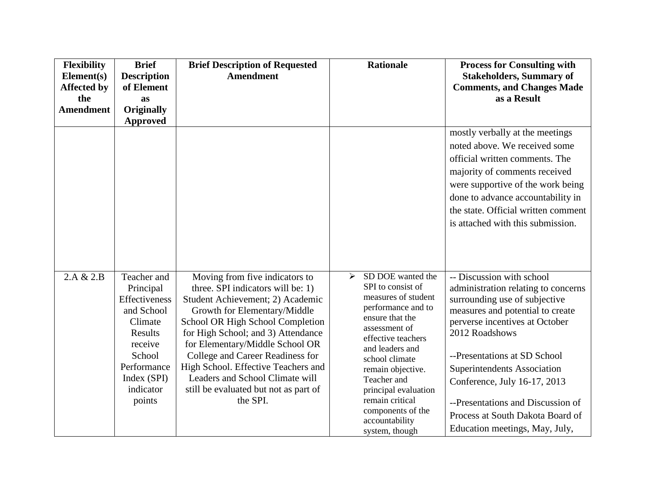| Flexibility<br>Element(s) | <b>Brief</b><br><b>Description</b>                                                                                | <b>Brief Description of Requested</b><br><b>Amendment</b>                                                                                                                                                                                                                                                                       | <b>Rationale</b>                                                                                                                                                                                             | <b>Process for Consulting with</b><br><b>Stakeholders, Summary of</b>                                                                                                                                                                                    |
|---------------------------|-------------------------------------------------------------------------------------------------------------------|---------------------------------------------------------------------------------------------------------------------------------------------------------------------------------------------------------------------------------------------------------------------------------------------------------------------------------|--------------------------------------------------------------------------------------------------------------------------------------------------------------------------------------------------------------|----------------------------------------------------------------------------------------------------------------------------------------------------------------------------------------------------------------------------------------------------------|
| <b>Affected by</b>        | of Element                                                                                                        |                                                                                                                                                                                                                                                                                                                                 |                                                                                                                                                                                                              | <b>Comments, and Changes Made</b>                                                                                                                                                                                                                        |
| the                       | as                                                                                                                |                                                                                                                                                                                                                                                                                                                                 |                                                                                                                                                                                                              | as a Result                                                                                                                                                                                                                                              |
| <b>Amendment</b>          | <b>Originally</b><br><b>Approved</b>                                                                              |                                                                                                                                                                                                                                                                                                                                 |                                                                                                                                                                                                              |                                                                                                                                                                                                                                                          |
|                           |                                                                                                                   |                                                                                                                                                                                                                                                                                                                                 |                                                                                                                                                                                                              | mostly verbally at the meetings<br>noted above. We received some                                                                                                                                                                                         |
|                           |                                                                                                                   |                                                                                                                                                                                                                                                                                                                                 |                                                                                                                                                                                                              | official written comments. The<br>majority of comments received<br>were supportive of the work being                                                                                                                                                     |
|                           |                                                                                                                   |                                                                                                                                                                                                                                                                                                                                 |                                                                                                                                                                                                              | done to advance accountability in                                                                                                                                                                                                                        |
|                           |                                                                                                                   |                                                                                                                                                                                                                                                                                                                                 |                                                                                                                                                                                                              | the state. Official written comment                                                                                                                                                                                                                      |
|                           |                                                                                                                   |                                                                                                                                                                                                                                                                                                                                 |                                                                                                                                                                                                              | is attached with this submission.                                                                                                                                                                                                                        |
|                           |                                                                                                                   |                                                                                                                                                                                                                                                                                                                                 |                                                                                                                                                                                                              |                                                                                                                                                                                                                                                          |
| 2.A & 2.B                 | Teacher and<br>Principal<br>Effectiveness<br>and School<br>Climate<br>Results<br>receive<br>School<br>Performance | Moving from five indicators to<br>three. SPI indicators will be: 1)<br>Student Achievement; 2) Academic<br>Growth for Elementary/Middle<br>School OR High School Completion<br>for High School; and 3) Attendance<br>for Elementary/Middle School OR<br>College and Career Readiness for<br>High School. Effective Teachers and | SD DOE wanted the<br>➤<br>SPI to consist of<br>measures of student<br>performance and to<br>ensure that the<br>assessment of<br>effective teachers<br>and leaders and<br>school climate<br>remain objective. | -- Discussion with school<br>administration relating to concerns<br>surrounding use of subjective<br>measures and potential to create<br>perverse incentives at October<br>2012 Roadshows<br>--Presentations at SD School<br>Superintendents Association |
|                           | Index (SPI)<br>indicator<br>points                                                                                | Leaders and School Climate will<br>still be evaluated but not as part of<br>the SPI.                                                                                                                                                                                                                                            | Teacher and<br>principal evaluation<br>remain critical<br>components of the<br>accountability                                                                                                                | Conference, July 16-17, 2013<br>--Presentations and Discussion of<br>Process at South Dakota Board of                                                                                                                                                    |
|                           |                                                                                                                   |                                                                                                                                                                                                                                                                                                                                 | system, though                                                                                                                                                                                               | Education meetings, May, July,                                                                                                                                                                                                                           |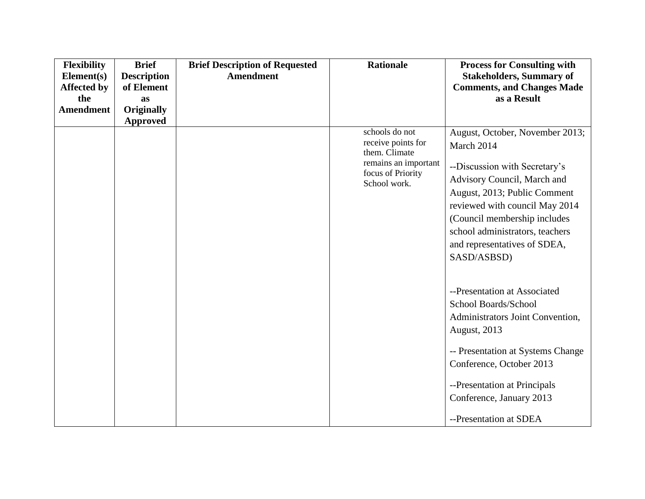| <b>Flexibility</b>               | <b>Brief</b>                     | <b>Brief Description of Requested</b> | <b>Rationale</b>                                                                                                   | <b>Process for Consulting with</b>                                                                                                                                                                                                                                                                                                                                                                                                                                                                                                                 |
|----------------------------------|----------------------------------|---------------------------------------|--------------------------------------------------------------------------------------------------------------------|----------------------------------------------------------------------------------------------------------------------------------------------------------------------------------------------------------------------------------------------------------------------------------------------------------------------------------------------------------------------------------------------------------------------------------------------------------------------------------------------------------------------------------------------------|
| Element(s)<br><b>Affected by</b> | <b>Description</b><br>of Element | <b>Amendment</b>                      |                                                                                                                    | <b>Stakeholders, Summary of</b><br><b>Comments, and Changes Made</b>                                                                                                                                                                                                                                                                                                                                                                                                                                                                               |
| the                              | as                               |                                       |                                                                                                                    | as a Result                                                                                                                                                                                                                                                                                                                                                                                                                                                                                                                                        |
| <b>Amendment</b>                 | <b>Originally</b>                |                                       |                                                                                                                    |                                                                                                                                                                                                                                                                                                                                                                                                                                                                                                                                                    |
|                                  | <b>Approved</b>                  |                                       |                                                                                                                    |                                                                                                                                                                                                                                                                                                                                                                                                                                                                                                                                                    |
|                                  |                                  |                                       | schools do not<br>receive points for<br>them. Climate<br>remains an important<br>focus of Priority<br>School work. | August, October, November 2013;<br>March 2014<br>--Discussion with Secretary's<br>Advisory Council, March and<br>August, 2013; Public Comment<br>reviewed with council May 2014<br>(Council membership includes<br>school administrators, teachers<br>and representatives of SDEA,<br>SASD/ASBSD)<br>--Presentation at Associated<br>School Boards/School<br>Administrators Joint Convention,<br><b>August</b> , 2013<br>-- Presentation at Systems Change<br>Conference, October 2013<br>--Presentation at Principals<br>Conference, January 2013 |
|                                  |                                  |                                       |                                                                                                                    | --Presentation at SDEA                                                                                                                                                                                                                                                                                                                                                                                                                                                                                                                             |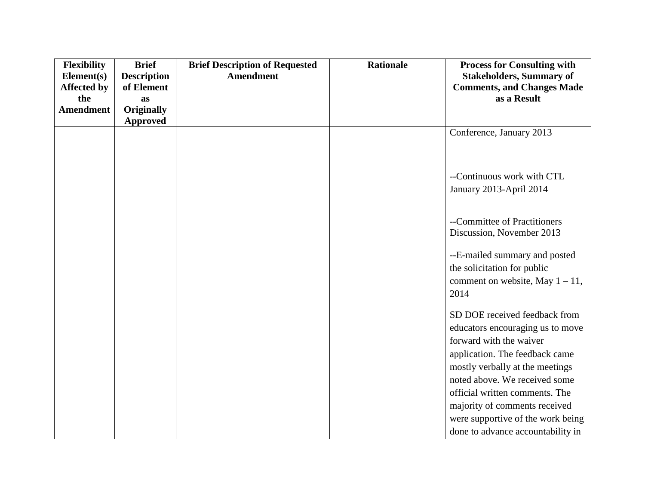| <b>Flexibility</b> | <b>Brief</b>       | <b>Brief Description of Requested</b> | <b>Rationale</b> | <b>Process for Consulting with</b> |
|--------------------|--------------------|---------------------------------------|------------------|------------------------------------|
| Element(s)         | <b>Description</b> | <b>Amendment</b>                      |                  | <b>Stakeholders, Summary of</b>    |
| <b>Affected by</b> | of Element         |                                       |                  | <b>Comments, and Changes Made</b>  |
| the                | as                 |                                       |                  | as a Result                        |
| <b>Amendment</b>   | <b>Originally</b>  |                                       |                  |                                    |
|                    | <b>Approved</b>    |                                       |                  |                                    |
|                    |                    |                                       |                  | Conference, January 2013           |
|                    |                    |                                       |                  |                                    |
|                    |                    |                                       |                  |                                    |
|                    |                    |                                       |                  | --Continuous work with CTL         |
|                    |                    |                                       |                  | January 2013-April 2014            |
|                    |                    |                                       |                  |                                    |
|                    |                    |                                       |                  |                                    |
|                    |                    |                                       |                  | --Committee of Practitioners       |
|                    |                    |                                       |                  | Discussion, November 2013          |
|                    |                    |                                       |                  | --E-mailed summary and posted      |
|                    |                    |                                       |                  | the solicitation for public        |
|                    |                    |                                       |                  |                                    |
|                    |                    |                                       |                  | comment on website, May $1 - 11$ , |
|                    |                    |                                       |                  | 2014                               |
|                    |                    |                                       |                  | SD DOE received feedback from      |
|                    |                    |                                       |                  | educators encouraging us to move   |
|                    |                    |                                       |                  | forward with the waiver            |
|                    |                    |                                       |                  | application. The feedback came     |
|                    |                    |                                       |                  | mostly verbally at the meetings    |
|                    |                    |                                       |                  | noted above. We received some      |
|                    |                    |                                       |                  | official written comments. The     |
|                    |                    |                                       |                  | majority of comments received      |
|                    |                    |                                       |                  | were supportive of the work being  |
|                    |                    |                                       |                  | done to advance accountability in  |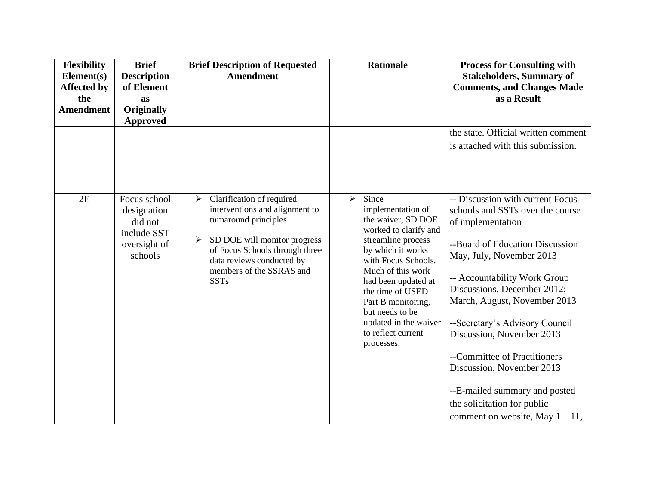| <b>Flexibility</b><br>Element(s)<br><b>Affected by</b><br>the<br><b>Amendment</b> | <b>Brief</b><br><b>Description</b><br>of Element<br>as<br><b>Originally</b><br><b>Approved</b> | <b>Brief Description of Requested</b><br><b>Amendment</b>                                                                                                                                                                                                    | <b>Rationale</b>                                                                                                                                                                                                                                                                                                                           | <b>Process for Consulting with</b><br><b>Stakeholders, Summary of</b><br><b>Comments, and Changes Made</b><br>as a Result<br>the state. Official written comment<br>is attached with this submission.                                                                                                                  |
|-----------------------------------------------------------------------------------|------------------------------------------------------------------------------------------------|--------------------------------------------------------------------------------------------------------------------------------------------------------------------------------------------------------------------------------------------------------------|--------------------------------------------------------------------------------------------------------------------------------------------------------------------------------------------------------------------------------------------------------------------------------------------------------------------------------------------|------------------------------------------------------------------------------------------------------------------------------------------------------------------------------------------------------------------------------------------------------------------------------------------------------------------------|
| 2E                                                                                | Focus school<br>designation<br>did not<br>include SST<br>oversight of<br>schools               | Clarification of required<br>$\blacktriangleright$<br>interventions and alignment to<br>turnaround principles<br>SD DOE will monitor progress<br>➤<br>of Focus Schools through three<br>data reviews conducted by<br>members of the SSRAS and<br><b>SSTs</b> | Since<br>$\blacktriangleright$<br>implementation of<br>the waiver, SD DOE<br>worked to clarify and<br>streamline process<br>by which it works<br>with Focus Schools.<br>Much of this work<br>had been updated at<br>the time of USED<br>Part B monitoring,<br>but needs to be<br>updated in the waiver<br>to reflect current<br>processes. | -- Discussion with current Focus<br>schools and SSTs over the course<br>of implementation<br>--Board of Education Discussion<br>May, July, November 2013<br>-- Accountability Work Group<br>Discussions, December 2012;<br>March, August, November 2013<br>--Secretary's Advisory Council<br>Discussion, November 2013 |
|                                                                                   |                                                                                                |                                                                                                                                                                                                                                                              |                                                                                                                                                                                                                                                                                                                                            | --Committee of Practitioners<br>Discussion, November 2013<br>--E-mailed summary and posted<br>the solicitation for public<br>comment on website, May $1 - 11$ ,                                                                                                                                                        |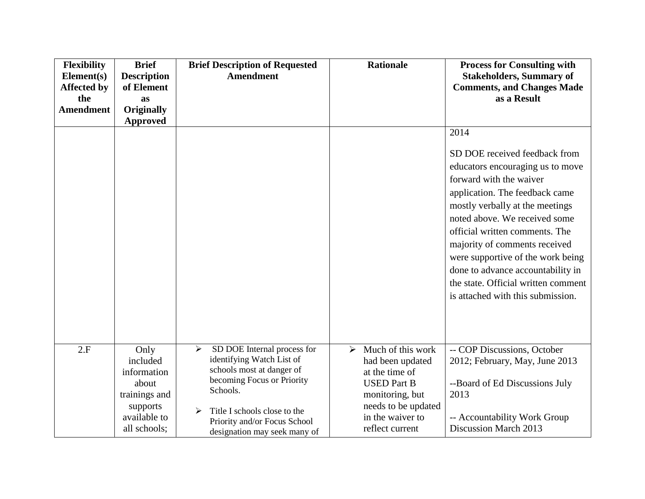| <b>Flexibility</b><br>Element(s)<br><b>Affected by</b><br>the<br><b>Amendment</b> | <b>Brief</b><br><b>Description</b><br>of Element<br>as<br><b>Originally</b><br><b>Approved</b>        | <b>Brief Description of Requested</b><br><b>Amendment</b>                                                                                                                                                                                 | <b>Rationale</b>                                                                                                                                                                        | <b>Process for Consulting with</b><br><b>Stakeholders, Summary of</b><br><b>Comments, and Changes Made</b><br>as a Result                                                                                                                                                                                                                                                                                                           |
|-----------------------------------------------------------------------------------|-------------------------------------------------------------------------------------------------------|-------------------------------------------------------------------------------------------------------------------------------------------------------------------------------------------------------------------------------------------|-----------------------------------------------------------------------------------------------------------------------------------------------------------------------------------------|-------------------------------------------------------------------------------------------------------------------------------------------------------------------------------------------------------------------------------------------------------------------------------------------------------------------------------------------------------------------------------------------------------------------------------------|
|                                                                                   |                                                                                                       |                                                                                                                                                                                                                                           |                                                                                                                                                                                         | 2014<br>SD DOE received feedback from<br>educators encouraging us to move<br>forward with the waiver<br>application. The feedback came<br>mostly verbally at the meetings<br>noted above. We received some<br>official written comments. The<br>majority of comments received<br>were supportive of the work being<br>done to advance accountability in<br>the state. Official written comment<br>is attached with this submission. |
| 2.F                                                                               | Only<br>included<br>information<br>about<br>trainings and<br>supports<br>available to<br>all schools; | SD DOE Internal process for<br>➤<br>identifying Watch List of<br>schools most at danger of<br>becoming Focus or Priority<br>Schools.<br>Title I schools close to the<br>➤<br>Priority and/or Focus School<br>designation may seek many of | Much of this work<br>$\blacktriangleright$<br>had been updated<br>at the time of<br><b>USED Part B</b><br>monitoring, but<br>needs to be updated<br>in the waiver to<br>reflect current | -- COP Discussions, October<br>2012; February, May, June 2013<br>--Board of Ed Discussions July<br>2013<br>-- Accountability Work Group<br>Discussion March 2013                                                                                                                                                                                                                                                                    |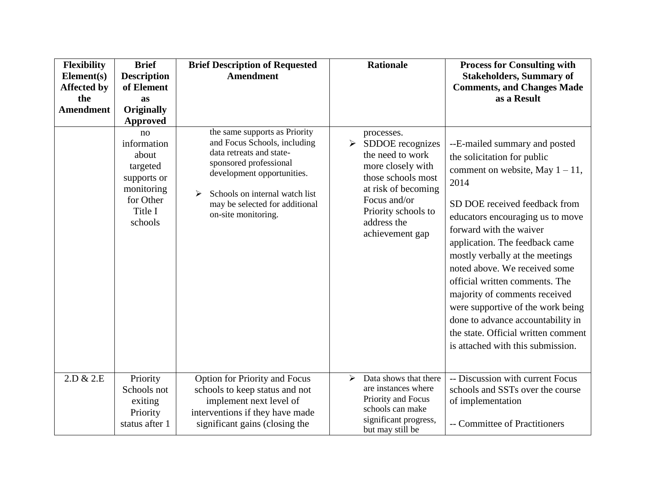| <b>Flexibility</b><br>Element(s)<br><b>Affected by</b><br>the<br><b>Amendment</b> | <b>Brief</b><br><b>Description</b><br>of Element<br>as<br><b>Originally</b><br><b>Approved</b>         | <b>Brief Description of Requested</b><br><b>Amendment</b>                                                                                                                                                                                         | <b>Rationale</b>                                                                                                                                                                                                       | <b>Process for Consulting with</b><br><b>Stakeholders, Summary of</b><br><b>Comments, and Changes Made</b><br>as a Result                                                                                                                                                                                                                                                                                                                                                                                                                 |
|-----------------------------------------------------------------------------------|--------------------------------------------------------------------------------------------------------|---------------------------------------------------------------------------------------------------------------------------------------------------------------------------------------------------------------------------------------------------|------------------------------------------------------------------------------------------------------------------------------------------------------------------------------------------------------------------------|-------------------------------------------------------------------------------------------------------------------------------------------------------------------------------------------------------------------------------------------------------------------------------------------------------------------------------------------------------------------------------------------------------------------------------------------------------------------------------------------------------------------------------------------|
|                                                                                   | no<br>information<br>about<br>targeted<br>supports or<br>monitoring<br>for Other<br>Title I<br>schools | the same supports as Priority<br>and Focus Schools, including<br>data retreats and state-<br>sponsored professional<br>development opportunities.<br>Schools on internal watch list<br>➤<br>may be selected for additional<br>on-site monitoring. | processes.<br>$\blacktriangleright$<br>SDDOE recognizes<br>the need to work<br>more closely with<br>those schools most<br>at risk of becoming<br>Focus and/or<br>Priority schools to<br>address the<br>achievement gap | --E-mailed summary and posted<br>the solicitation for public<br>comment on website, May $1 - 11$ ,<br>2014<br>SD DOE received feedback from<br>educators encouraging us to move<br>forward with the waiver<br>application. The feedback came<br>mostly verbally at the meetings<br>noted above. We received some<br>official written comments. The<br>majority of comments received<br>were supportive of the work being<br>done to advance accountability in<br>the state. Official written comment<br>is attached with this submission. |
| 2.D & 2.E                                                                         | Priority<br>Schools not<br>exiting<br>Priority<br>status after 1                                       | Option for Priority and Focus<br>schools to keep status and not<br>implement next level of<br>interventions if they have made<br>significant gains (closing the                                                                                   | Data shows that there<br>$\blacktriangleright$<br>are instances where<br>Priority and Focus<br>schools can make<br>significant progress,<br>but may still be                                                           | -- Discussion with current Focus<br>schools and SSTs over the course<br>of implementation<br>-- Committee of Practitioners                                                                                                                                                                                                                                                                                                                                                                                                                |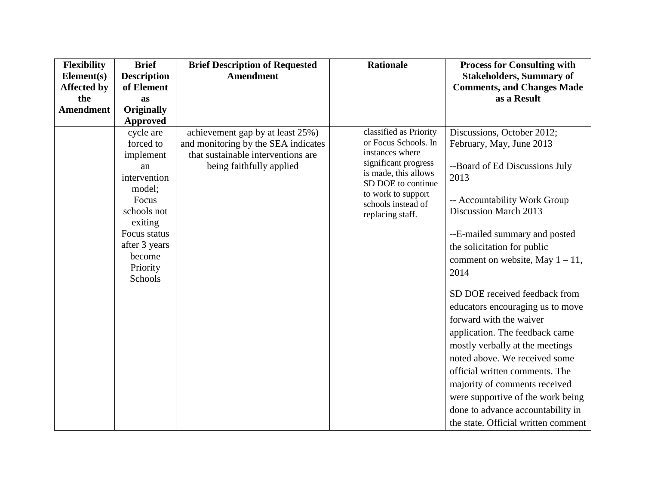| Flexibility        | <b>Brief</b>       | <b>Brief Description of Requested</b> | <b>Rationale</b>                        | <b>Process for Consulting with</b>  |
|--------------------|--------------------|---------------------------------------|-----------------------------------------|-------------------------------------|
| Element(s)         | <b>Description</b> | Amendment                             |                                         | <b>Stakeholders, Summary of</b>     |
| <b>Affected by</b> | of Element         |                                       |                                         | <b>Comments, and Changes Made</b>   |
| the                | as                 |                                       |                                         | as a Result                         |
| <b>Amendment</b>   | <b>Originally</b>  |                                       |                                         |                                     |
|                    | <b>Approved</b>    |                                       |                                         |                                     |
|                    | cycle are          | achievement gap by at least 25%)      | classified as Priority                  | Discussions, October 2012;          |
|                    | forced to          | and monitoring by the SEA indicates   | or Focus Schools. In                    | February, May, June 2013            |
|                    | implement          | that sustainable interventions are    | instances where<br>significant progress |                                     |
|                    | an                 | being faithfully applied              | is made, this allows                    | --Board of Ed Discussions July      |
|                    | intervention       |                                       | SD DOE to continue                      | 2013                                |
|                    | model;<br>Focus    |                                       | to work to support                      | -- Accountability Work Group        |
|                    | schools not        |                                       | schools instead of                      | Discussion March 2013               |
|                    | exiting            |                                       | replacing staff.                        |                                     |
|                    | Focus status       |                                       |                                         | --E-mailed summary and posted       |
|                    | after 3 years      |                                       |                                         | the solicitation for public         |
|                    | become             |                                       |                                         | comment on website, May $1 - 11$ ,  |
|                    | Priority           |                                       |                                         | 2014                                |
|                    | Schools            |                                       |                                         |                                     |
|                    |                    |                                       |                                         | SD DOE received feedback from       |
|                    |                    |                                       |                                         | educators encouraging us to move    |
|                    |                    |                                       |                                         | forward with the waiver             |
|                    |                    |                                       |                                         | application. The feedback came      |
|                    |                    |                                       |                                         | mostly verbally at the meetings     |
|                    |                    |                                       |                                         | noted above. We received some       |
|                    |                    |                                       |                                         | official written comments. The      |
|                    |                    |                                       |                                         | majority of comments received       |
|                    |                    |                                       |                                         | were supportive of the work being   |
|                    |                    |                                       |                                         | done to advance accountability in   |
|                    |                    |                                       |                                         | the state. Official written comment |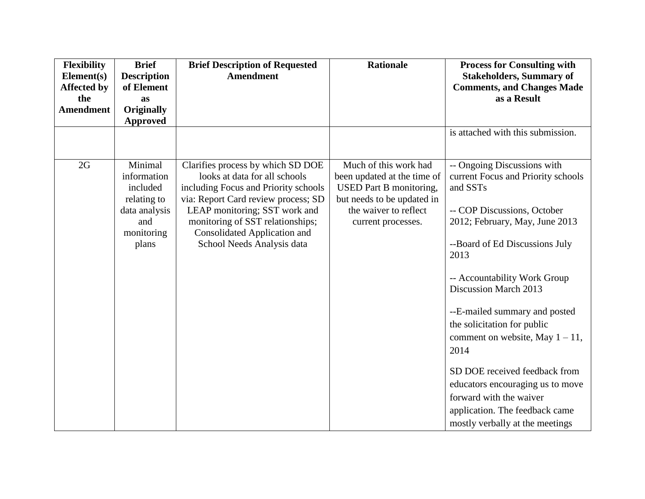| <b>Flexibility</b><br>Element(s) | <b>Brief</b><br><b>Description</b> | <b>Brief Description of Requested</b><br><b>Amendment</b>         | <b>Rationale</b>               | <b>Process for Consulting with</b><br><b>Stakeholders, Summary of</b> |
|----------------------------------|------------------------------------|-------------------------------------------------------------------|--------------------------------|-----------------------------------------------------------------------|
| <b>Affected by</b>               | of Element                         |                                                                   |                                | <b>Comments, and Changes Made</b>                                     |
| the                              | as                                 |                                                                   |                                | as a Result                                                           |
| <b>Amendment</b>                 | <b>Originally</b>                  |                                                                   |                                |                                                                       |
|                                  | Approved                           |                                                                   |                                |                                                                       |
|                                  |                                    |                                                                   |                                | is attached with this submission.                                     |
| 2G                               | Minimal                            | Clarifies process by which SD DOE                                 | Much of this work had          | -- Ongoing Discussions with                                           |
|                                  | information                        | looks at data for all schools                                     | been updated at the time of    | current Focus and Priority schools                                    |
|                                  | included                           | including Focus and Priority schools                              | <b>USED</b> Part B monitoring, | and SSTs                                                              |
|                                  | relating to                        | via: Report Card review process; SD                               | but needs to be updated in     |                                                                       |
|                                  | data analysis                      | LEAP monitoring; SST work and                                     | the waiver to reflect          | -- COP Discussions, October                                           |
|                                  | and                                | monitoring of SST relationships;                                  | current processes.             | 2012; February, May, June 2013                                        |
|                                  | monitoring<br>plans                | <b>Consolidated Application and</b><br>School Needs Analysis data |                                | --Board of Ed Discussions July                                        |
|                                  |                                    |                                                                   |                                | 2013                                                                  |
|                                  |                                    |                                                                   |                                | -- Accountability Work Group<br>Discussion March 2013                 |
|                                  |                                    |                                                                   |                                | --E-mailed summary and posted                                         |
|                                  |                                    |                                                                   |                                | the solicitation for public                                           |
|                                  |                                    |                                                                   |                                | comment on website, May $1 - 11$ ,                                    |
|                                  |                                    |                                                                   |                                | 2014                                                                  |
|                                  |                                    |                                                                   |                                | SD DOE received feedback from                                         |
|                                  |                                    |                                                                   |                                | educators encouraging us to move                                      |
|                                  |                                    |                                                                   |                                | forward with the waiver                                               |
|                                  |                                    |                                                                   |                                | application. The feedback came                                        |
|                                  |                                    |                                                                   |                                | mostly verbally at the meetings                                       |